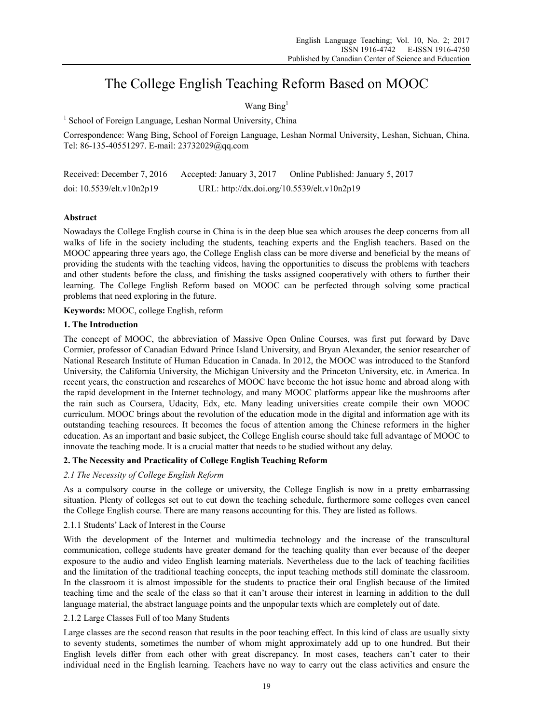# The College English Teaching Reform Based on MOOC

Wang Bing<sup>1</sup>

<sup>1</sup> School of Foreign Language, Leshan Normal University, China

Correspondence: Wang Bing, School of Foreign Language, Leshan Normal University, Leshan, Sichuan, China. Tel: 86-135-40551297. E-mail: 23732029@qq.com

| Received: December 7, 2016      | Accepted: January 3, 2017                   | Online Published: January 5, 2017 |
|---------------------------------|---------------------------------------------|-----------------------------------|
| doi: $10.5539$ /elt.v $10n2p19$ | URL: http://dx.doi.org/10.5539/elt.v10n2p19 |                                   |

# **Abstract**

Nowadays the College English course in China is in the deep blue sea which arouses the deep concerns from all walks of life in the society including the students, teaching experts and the English teachers. Based on the MOOC appearing three years ago, the College English class can be more diverse and beneficial by the means of providing the students with the teaching videos, having the opportunities to discuss the problems with teachers and other students before the class, and finishing the tasks assigned cooperatively with others to further their learning. The College English Reform based on MOOC can be perfected through solving some practical problems that need exploring in the future.

**Keywords:** MOOC, college English, reform

### **1. The Introduction**

The concept of MOOC, the abbreviation of Massive Open Online Courses, was first put forward by Dave Cormier, professor of Canadian Edward Prince Island University, and Bryan Alexander, the senior researcher of National Research Institute of Human Education in Canada. In 2012, the MOOC was introduced to the Stanford University, the California University, the Michigan University and the Princeton University, etc. in America. In recent years, the construction and researches of MOOC have become the hot issue home and abroad along with the rapid development in the Internet technology, and many MOOC platforms appear like the mushrooms after the rain such as Coursera, Udacity, Edx, etc. Many leading universities create compile their own MOOC curriculum. MOOC brings about the revolution of the education mode in the digital and information age with its outstanding teaching resources. It becomes the focus of attention among the Chinese reformers in the higher education. As an important and basic subject, the College English course should take full advantage of MOOC to innovate the teaching mode. It is a crucial matter that needs to be studied without any delay.

### **2. The Necessity and Practicality of College English Teaching Reform**

## *2.1 The Necessity of College English Reform*

As a compulsory course in the college or university, the College English is now in a pretty embarrassing situation. Plenty of colleges set out to cut down the teaching schedule, furthermore some colleges even cancel the College English course. There are many reasons accounting for this. They are listed as follows.

### 2.1.1 Students' Lack of Interest in the Course

With the development of the Internet and multimedia technology and the increase of the transcultural communication, college students have greater demand for the teaching quality than ever because of the deeper exposure to the audio and video English learning materials. Nevertheless due to the lack of teaching facilities and the limitation of the traditional teaching concepts, the input teaching methods still dominate the classroom. In the classroom it is almost impossible for the students to practice their oral English because of the limited teaching time and the scale of the class so that it can't arouse their interest in learning in addition to the dull language material, the abstract language points and the unpopular texts which are completely out of date.

## 2.1.2 Large Classes Full of too Many Students

Large classes are the second reason that results in the poor teaching effect. In this kind of class are usually sixty to seventy students, sometimes the number of whom might approximately add up to one hundred. But their English levels differ from each other with great discrepancy. In most cases, teachers can't cater to their individual need in the English learning. Teachers have no way to carry out the class activities and ensure the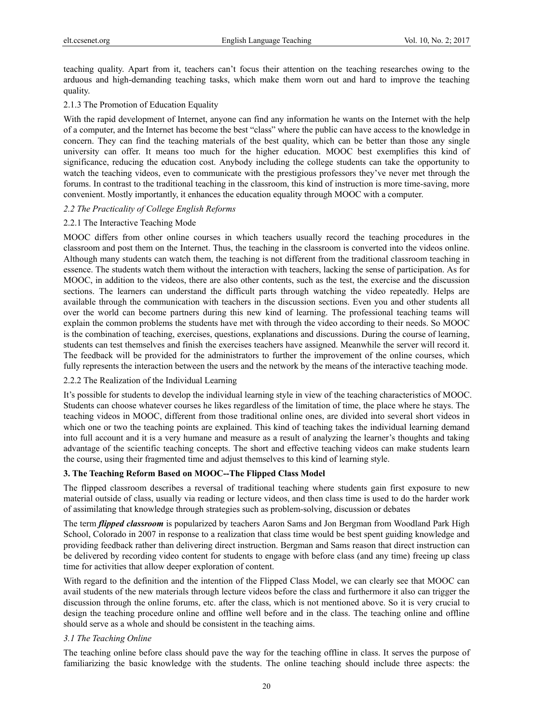teaching quality. Apart from it, teachers can't focus their attention on the teaching researches owing to the arduous and high-demanding teaching tasks, which make them worn out and hard to improve the teaching quality.

## 2.1.3 The Promotion of Education Equality

With the rapid development of Internet, anyone can find any information he wants on the Internet with the help of a computer, and the Internet has become the best "class" where the public can have access to the knowledge in concern. They can find the teaching materials of the best quality, which can be better than those any single university can offer. It means too much for the higher education. MOOC best exemplifies this kind of significance, reducing the education cost. Anybody including the college students can take the opportunity to watch the teaching videos, even to communicate with the prestigious professors they've never met through the forums. In contrast to the traditional teaching in the classroom, this kind of instruction is more time-saving, more convenient. Mostly importantly, it enhances the education equality through MOOC with a computer.

## *2.2 The Practicality of College English Reforms*

## 2.2.1 The Interactive Teaching Mode

MOOC differs from other online courses in which teachers usually record the teaching procedures in the classroom and post them on the Internet. Thus, the teaching in the classroom is converted into the videos online. Although many students can watch them, the teaching is not different from the traditional classroom teaching in essence. The students watch them without the interaction with teachers, lacking the sense of participation. As for MOOC, in addition to the videos, there are also other contents, such as the test, the exercise and the discussion sections. The learners can understand the difficult parts through watching the video repeatedly. Helps are available through the communication with teachers in the discussion sections. Even you and other students all over the world can become partners during this new kind of learning. The professional teaching teams will explain the common problems the students have met with through the video according to their needs. So MOOC is the combination of teaching, exercises, questions, explanations and discussions. During the course of learning, students can test themselves and finish the exercises teachers have assigned. Meanwhile the server will record it. The feedback will be provided for the administrators to further the improvement of the online courses, which fully represents the interaction between the users and the network by the means of the interactive teaching mode.

# 2.2.2 The Realization of the Individual Learning

It's possible for students to develop the individual learning style in view of the teaching characteristics of MOOC. Students can choose whatever courses he likes regardless of the limitation of time, the place where he stays. The teaching videos in MOOC, different from those traditional online ones, are divided into several short videos in which one or two the teaching points are explained. This kind of teaching takes the individual learning demand into full account and it is a very humane and measure as a result of analyzing the learner's thoughts and taking advantage of the scientific teaching concepts. The short and effective teaching videos can make students learn the course, using their fragmented time and adjust themselves to this kind of learning style.

# **3. The Teaching Reform Based on MOOC--The Flipped Class Model**

The flipped classroom describes a reversal of traditional teaching where students gain first exposure to new material outside of class, usually via reading or lecture videos, and then class time is used to do the harder work of assimilating that knowledge through strategies such as problem-solving, discussion or debates

The term *flipped classroom* is popularized by teachers Aaron Sams and Jon Bergman from Woodland Park High School, Colorado in 2007 in response to a realization that class time would be best spent guiding knowledge and providing feedback rather than delivering direct instruction. Bergman and Sams reason that direct instruction can be delivered by recording video content for students to engage with before class (and any time) freeing up class time for activities that allow deeper exploration of content.

With regard to the definition and the intention of the Flipped Class Model, we can clearly see that MOOC can avail students of the new materials through lecture videos before the class and furthermore it also can trigger the discussion through the online forums, etc. after the class, which is not mentioned above. So it is very crucial to design the teaching procedure online and offline well before and in the class. The teaching online and offline should serve as a whole and should be consistent in the teaching aims.

# *3.1 The Teaching Online*

The teaching online before class should pave the way for the teaching offline in class. It serves the purpose of familiarizing the basic knowledge with the students. The online teaching should include three aspects: the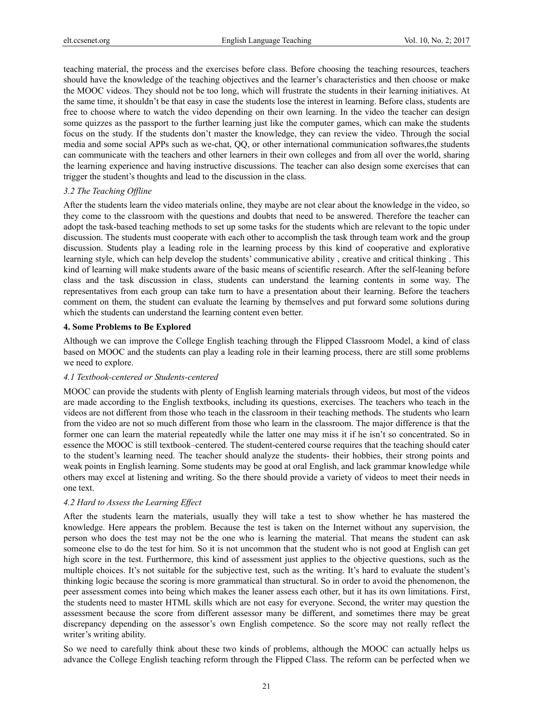teaching material, the process and the exercises before class. Before choosing the teaching resources, teachers should have the knowledge of the teaching objectives and the learner's characteristics and then choose or make the MOOC videos. They should not be too long, which will frustrate the students in their learning initiatives. At the same time, it shouldn't be that easy in case the students lose the interest in learning. Before class, students are free to choose where to watch the video depending on their own learning. In the video the teacher can design some quizzes as the passport to the further learning just like the computer games, which can make the students focus on the study. If the students don't master the knowledge, they can review the video. Through the social media and some social APPs such as we-chat, QQ, or other international communication softwares,the students can communicate with the teachers and other learners in their own colleges and from all over the world, sharing the learning experience and having instructive discussions. The teacher can also design some exercises that can trigger the student's thoughts and lead to the discussion in the class.

## *3.2 The Teaching Offline*

After the students learn the video materials online, they maybe are not clear about the knowledge in the video, so they come to the classroom with the questions and doubts that need to be answered. Therefore the teacher can adopt the task-based teaching methods to set up some tasks for the students which are relevant to the topic under discussion. The students must cooperate with each other to accomplish the task through team work and the group discussion. Students play a leading role in the learning process by this kind of cooperative and explorative learning style, which can help develop the students' communicative ability , creative and critical thinking . This kind of learning will make students aware of the basic means of scientific research. After the self-leaning before class and the task discussion in class, students can understand the learning contents in some way. The representatives from each group can take turn to have a presentation about their learning. Before the teachers comment on them, the student can evaluate the learning by themselves and put forward some solutions during which the students can understand the learning content even better.

## **4. Some Problems to Be Explored**

Although we can improve the College English teaching through the Flipped Classroom Model, a kind of class based on MOOC and the students can play a leading role in their learning process, there are still some problems we need to explore.

### *4.1 Textbook-centered or Students-centered*

MOOC can provide the students with plenty of English learning materials through videos, but most of the videos are made according to the English textbooks, including its questions, exercises. The teachers who teach in the videos are not different from those who teach in the classroom in their teaching methods. The students who learn from the video are not so much different from those who learn in the classroom. The major difference is that the former one can learn the material repeatedly while the latter one may miss it if he isn't so concentrated. So in essence the MOOC is still textbook–centered. The student-centered course requires that the teaching should cater to the student's learning need. The teacher should analyze the students- their hobbies, their strong points and weak points in English learning. Some students may be good at oral English, and lack grammar knowledge while others may excel at listening and writing. So the there should provide a variety of videos to meet their needs in one text.

# *4.2 Hard to Assess the Learning Effect*

After the students learn the materials, usually they will take a test to show whether he has mastered the knowledge. Here appears the problem. Because the test is taken on the Internet without any supervision, the person who does the test may not be the one who is learning the material. That means the student can ask someone else to do the test for him. So it is not uncommon that the student who is not good at English can get high score in the test. Furthermore, this kind of assessment just applies to the objective questions, such as the multiple choices. It's not suitable for the subjective test, such as the writing. It's hard to evaluate the student's thinking logic because the scoring is more grammatical than structural. So in order to avoid the phenomenon, the peer assessment comes into being which makes the leaner assess each other, but it has its own limitations. First, the students need to master HTML skills which are not easy for everyone. Second, the writer may question the assessment because the score from different assessor many be different, and sometimes there may be great discrepancy depending on the assessor's own English competence. So the score may not really reflect the writer's writing ability.

So we need to carefully think about these two kinds of problems, although the MOOC can actually helps us advance the College English teaching reform through the Flipped Class. The reform can be perfected when we